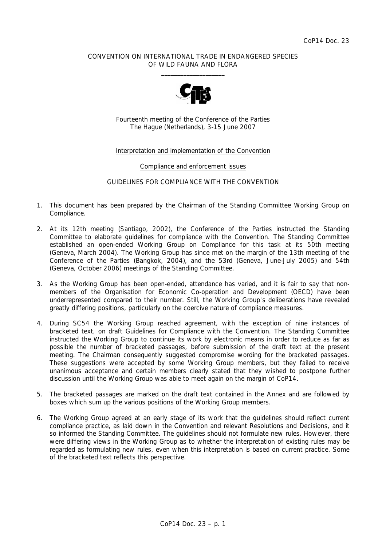### CONVENTION ON INTERNATIONAL TRADE IN ENDANGERED SPECIES OF WILD FAUNA AND FLORA  $\frac{1}{2}$  , and the set of the set of the set of the set of the set of the set of the set of the set of the set of the set of the set of the set of the set of the set of the set of the set of the set of the set of the set



Fourteenth meeting of the Conference of the Parties The Hague (Netherlands), 3-15 June 2007

### Interpretation and implementation of the Convention

#### Compliance and enforcement issues

### GUIDELINES FOR COMPLIANCE WITH THE CONVENTION

- 1. This document has been prepared by the Chairman of the Standing Committee Working Group on Compliance.
- 2. At its 12th meeting (Santiago, 2002), the Conference of the Parties instructed the Standing Committee to elaborate guidelines for compliance with the Convention. The Standing Committee established an open-ended Working Group on Compliance for this task at its 50th meeting (Geneva, March 2004). The Working Group has since met on the margin of the 13th meeting of the Conference of the Parties (Bangkok, 2004), and the 53rd (Geneva, June-July 2005) and 54th (Geneva, October 2006) meetings of the Standing Committee.
- 3. As the Working Group has been open-ended, attendance has varied, and it is fair to say that nonmembers of the Organisation for Economic Co-operation and Development (OECD) have been underrepresented compared to their number. Still, the Working Group's deliberations have revealed greatly differing positions, particularly on the coercive nature of compliance measures.
- 4. During SC54 the Working Group reached agreement, with the exception of nine instances of bracketed text, on draft Guidelines for Compliance with the Convention. The Standing Committee instructed the Working Group to continue its work by electronic means in order to reduce as far as possible the number of bracketed passages, before submission of the draft text at the present meeting. The Chairman consequently suggested compromise wording for the bracketed passages. These suggestions were accepted by some Working Group members, but they failed to receive unanimous acceptance and certain members clearly stated that they wished to postpone further discussion until the Working Group was able to meet again on the margin of CoP14.
- 5. The bracketed passages are marked on the draft text contained in the Annex and are followed by boxes which sum up the various positions of the Working Group members.
- 6. The Working Group agreed at an early stage of its work that the guidelines should reflect current compliance practice, as laid down in the Convention and relevant Resolutions and Decisions, and it so informed the Standing Committee. The guidelines should not formulate new rules. However, there were differing views in the Working Group as to whether the interpretation of existing rules may be regarded as formulating new rules, even when this interpretation is based on current practice. Some of the bracketed text reflects this perspective.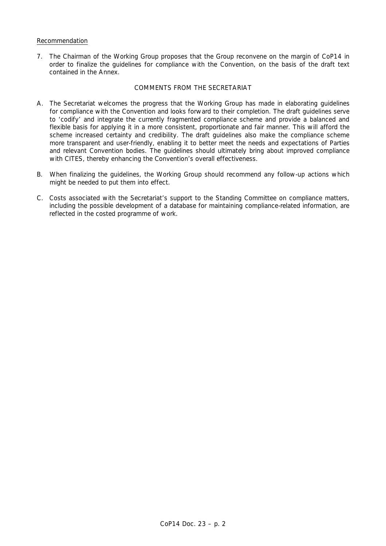## Recommendation

7. The Chairman of the Working Group proposes that the Group reconvene on the margin of CoP14 in order to finalize the guidelines for compliance with the Convention, on the basis of the draft text contained in the Annex.

#### COMMENTS FROM THE SECRETARIAT

- A. The Secretariat welcomes the progress that the Working Group has made in elaborating guidelines for compliance with the Convention and looks forward to their completion. The draft guidelines serve to 'codify' and integrate the currently fragmented compliance scheme and provide a balanced and flexible basis for applying it in a more consistent, proportionate and fair manner. This will afford the scheme increased certainty and credibility. The draft guidelines also make the compliance scheme more transparent and user-friendly, enabling it to better meet the needs and expectations of Parties and relevant Convention bodies. The guidelines should ultimately bring about improved compliance with CITES, thereby enhancing the Convention's overall effectiveness.
- B. When finalizing the guidelines, the Working Group should recommend any follow-up actions which might be needed to put them into effect.
- C. Costs associated with the Secretariat's support to the Standing Committee on compliance matters, including the possible development of a database for maintaining compliance-related information, are reflected in the costed programme of work.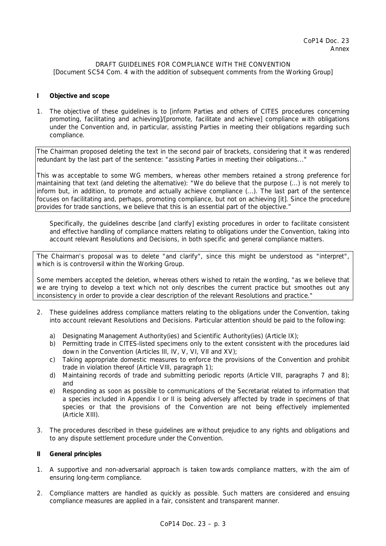## DRAFT GUIDELINES FOR COMPLIANCE WITH THE CONVENTION *[Document SC54 Com. 4 with the addition of subsequent comments from the Working Group]*

### **I Objective and scope**

1. The objective of these guidelines is to [inform Parties and others of CITES procedures concerning promoting, facilitating and achieving]/[promote, facilitate and achieve] compliance with obligations under the Convention and, in particular, assisting Parties in meeting their obligations regarding such compliance.

The Chairman proposed deleting the text in the second pair of brackets, considering that it was rendered redundant by the last part of the sentence: "assisting Parties in meeting their obligations..."

This was acceptable to some WG members, whereas other members retained a strong preference for maintaining that text (and deleting the alternative): "We do believe that the purpose (...) is not merely to inform but, in addition, to promote and actually achieve compliance (...). The last part of the sentence focuses on facilitating and, perhaps, promoting compliance, but not on achieving [it]. Since the procedure provides for trade sanctions, we believe that this is an essential part of the objective."

 Specifically, the guidelines describe [and clarify] existing procedures in order to facilitate consistent and effective handling of compliance matters relating to obligations under the Convention, taking into account relevant Resolutions and Decisions, in both specific and general compliance matters.

The Chairman's proposal was to delete "and clarify", since this might be understood as "interpret", which is is controversil within the Working Group.

Some members accepted the deletion, whereas others wished to retain the wording, "as we believe that we are trying to develop a text which not only describes the current practice but smoothes out any inconsistency in order to provide a clear description of the relevant Resolutions and practice."

- 2. These guidelines address compliance matters relating to the obligations under the Convention, taking into account relevant Resolutions and Decisions. Particular attention should be paid to the following:
	- a) Designating Management Authority(ies) and Scientific Authority(ies) (Article IX);
	- b) Permitting trade in CITES-listed specimens only to the extent consistent with the procedures laid down in the Convention (Articles III, IV, V, VI, VII and XV);
	- c) Taking appropriate domestic measures to enforce the provisions of the Convention and prohibit trade in violation thereof (Article VIII, paragraph 1);
	- d) Maintaining records of trade and submitting periodic reports (Article VIII, paragraphs 7 and 8); and
	- e) Responding as soon as possible to communications of the Secretariat related to information that a species included in Appendix I or II is being adversely affected by trade in specimens of that species or that the provisions of the Convention are not being effectively implemented (Article XIII).
- 3. The procedures described in these guidelines are without prejudice to any rights and obligations and to any dispute settlement procedure under the Convention.

#### **II General principles**

- 1. A supportive and non-adversarial approach is taken towards compliance matters, with the aim of ensuring long-term compliance.
- 2. Compliance matters are handled as quickly as possible. Such matters are considered and ensuing compliance measures are applied in a fair, consistent and transparent manner.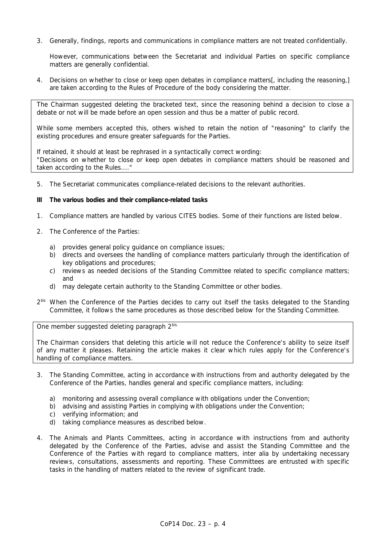3. Generally, findings, reports and communications in compliance matters are not treated confidentially.

 However, communications between the Secretariat and individual Parties on specific compliance matters are generally confidential.

4. Decisions on whether to close or keep open debates in compliance matters[, including the reasoning,] are taken according to the Rules of Procedure of the body considering the matter.

The Chairman suggested deleting the bracketed text, since the reasoning behind a decision to close a debate or not will be made before an open session and thus be a matter of public record.

While some members accepted this, others wished to retain the notion of "reasoning" to clarify the existing procedures and ensure greater safeguards for the Parties.

If retained, it should at least be rephrased in a syntactically correct wording: "Decisions on whether to close or keep open debates in compliance matters should be reasoned and taken according to the Rules...."

5. The Secretariat communicates compliance-related decisions to the relevant authorities.

### **III The various bodies and their compliance-related tasks**

- 1. Compliance matters are handled by various CITES bodies. Some of their functions are listed below.
- 2. The Conference of the Parties:
	- a) provides general policy guidance on compliance issues;
	- b) directs and oversees the handling of compliance matters particularly through the identification of key obligations and procedures;
	- c) reviews as needed decisions of the Standing Committee related to specific compliance matters; and
	- d) may delegate certain authority to the Standing Committee or other bodies.
- $2<sup>bis</sup>$  When the Conference of the Parties decides to carry out itself the tasks delegated to the Standing Committee, it follows the same procedures as those described below for the Standing Committee.

One member suggested deleting paragraph 2bis.

The Chairman considers that deleting this article will not reduce the Conference's ability to seize itself of any matter it pleases. Retaining the article makes it clear which rules apply for the Conference's handling of compliance matters.

- 3. The Standing Committee, acting in accordance with instructions from and authority delegated by the Conference of the Parties, handles general and specific compliance matters, including:
	- a) monitoring and assessing overall compliance with obligations under the Convention;
	- b) advising and assisting Parties in complying with obligations under the Convention;
	- c) verifying information; and
	- d) taking compliance measures as described below.
- 4. The Animals and Plants Committees, acting in accordance with instructions from and authority delegated by the Conference of the Parties, advise and assist the Standing Committee and the Conference of the Parties with regard to compliance matters, *inter alia* by undertaking necessary reviews, consultations, assessments and reporting. These Committees are entrusted with specific tasks in the handling of matters related to the review of significant trade.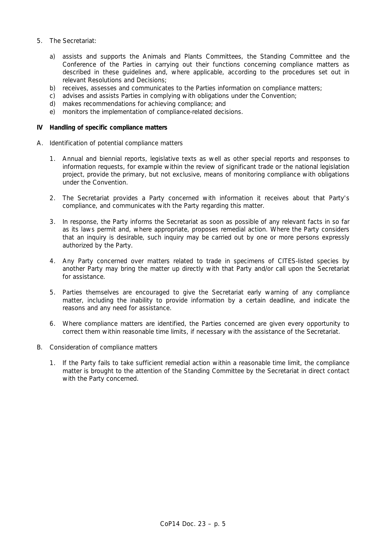- 5. The Secretariat:
	- a) assists and supports the Animals and Plants Committees, the Standing Committee and the Conference of the Parties in carrying out their functions concerning compliance matters as described in these guidelines and, where applicable, according to the procedures set out in relevant Resolutions and Decisions;
	- b) receives, assesses and communicates to the Parties information on compliance matters;
	- c) advises and assists Parties in complying with obligations under the Convention;
	- d) makes recommendations for achieving compliance; and
	- e) monitors the implementation of compliance-related decisions.

#### **IV Handling of specific compliance matters**

- *A. Identification of potential compliance matters* 
	- 1. Annual and biennial reports, legislative texts as well as other special reports and responses to information requests, for example within the review of significant trade or the national legislation project, provide the primary, but not exclusive, means of monitoring compliance with obligations under the Convention.
	- 2. The Secretariat provides a Party concerned with information it receives about that Party's compliance, and communicates with the Party regarding this matter.
	- 3. In response, the Party informs the Secretariat as soon as possible of any relevant facts in so far as its laws permit and, where appropriate, proposes remedial action. Where the Party considers that an inquiry is desirable, such inquiry may be carried out by one or more persons expressly authorized by the Party.
	- 4. Any Party concerned over matters related to trade in specimens of CITES-listed species by another Party may bring the matter up directly with that Party and/or call upon the Secretariat for assistance.
	- 5. Parties themselves are encouraged to give the Secretariat early warning of any compliance matter, including the inability to provide information by a certain deadline, and indicate the reasons and any need for assistance.
	- 6. Where compliance matters are identified, the Parties concerned are given every opportunity to correct them within reasonable time limits, if necessary with the assistance of the Secretariat.
- *B. Consideration of compliance matters* 
	- 1. If the Party fails to take sufficient remedial action within a reasonable time limit, the compliance matter is brought to the attention of the Standing Committee by the Secretariat in direct contact with the Party concerned.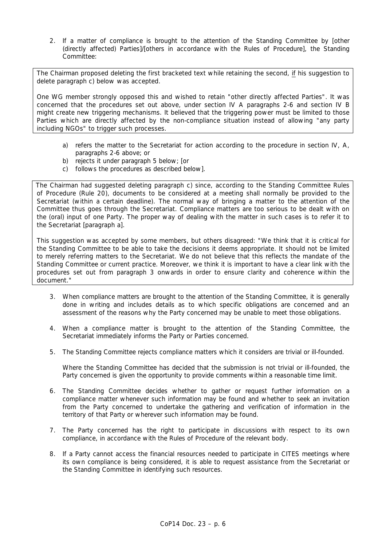2. If a matter of compliance is brought to the attention of the Standing Committee by [other (directly affected) Parties]/[others in accordance with the Rules of Procedure], the Standing Committee:

The Chairman proposed deleting the first bracketed text while retaining the second, if his suggestion to delete paragraph c) below was accepted.

One WG member strongly opposed this and wished to retain "other directly affected Parties". It was concerned that the procedures set out above, under section IV A paragraphs 2-6 and section IV B might create new triggering mechanisms. It believed that the triggering power must be limited to those Parties which are directly affected by the non-compliance situation instead of allowing "any party including NGOs" to trigger such processes.

- a) refers the matter to the Secretariat for action according to the procedure in section IV, A, paragraphs 2-6 above; or
- b) rejects it under paragraph 5 below; [or
- c) follows the procedures as described below].

The Chairman had suggested deleting paragraph c) since, according to the Standing Committee Rules of Procedure (Rule 20), documents to be considered at a meeting shall normally be provided to the Secretariat (within a certain deadline). The normal way of bringing a matter to the attention of the Committee thus goes through the Secretariat. Compliance matters are too serious to be dealt with on the (oral) input of one Party. The proper way of dealing with the matter in such cases is to refer it to the Secretariat [paragraph a].

 This suggestion was accepted by some members, but others disagreed: "We think that it is critical for the Standing Committee to be able to take the decisions it deems appropriate. It should not be limited to merely referring matters to the Secretariat. We do not believe that this reflects the mandate of the Standing Committee or current practice. Moreover, we think it is important to have a clear link with the procedures set out from paragraph 3 onwards in order to ensure clarity and coherence within the document."

- 3. When compliance matters are brought to the attention of the Standing Committee, it is generally done in writing and includes details as to which specific obligations are concerned and an assessment of the reasons why the Party concerned may be unable to meet those obligations.
- 4. When a compliance matter is brought to the attention of the Standing Committee, the Secretariat immediately informs the Party or Parties concerned.
- 5. The Standing Committee rejects compliance matters which it considers are trivial or ill-founded.

 Where the Standing Committee has decided that the submission is not trivial or ill-founded, the Party concerned is given the opportunity to provide comments within a reasonable time limit.

- 6. The Standing Committee decides whether to gather or request further information on a compliance matter whenever such information may be found and whether to seek an invitation from the Party concerned to undertake the gathering and verification of information in the territory of that Party or wherever such information may be found.
- 7. The Party concerned has the right to participate in discussions with respect to its own compliance, in accordance with the Rules of Procedure of the relevant body.
- 8. If a Party cannot access the financial resources needed to participate in CITES meetings where its own compliance is being considered, it is able to request assistance from the Secretariat or the Standing Committee in identifying such resources.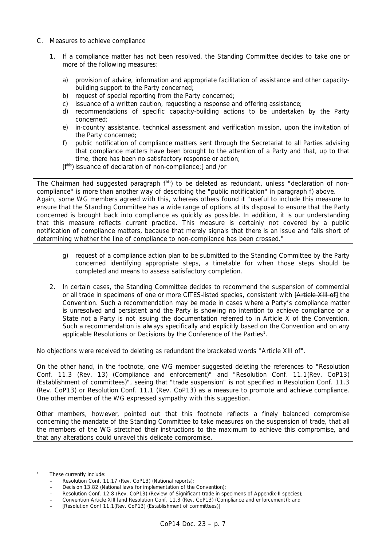# *C. Measures to achieve compliance*

- 1. If a compliance matter has not been resolved, the Standing Committee decides to take one or more of the following measures:
	- a) provision of advice, information and appropriate facilitation of assistance and other capacitybuilding support to the Party concerned;
	- b) request of special reporting from the Party concerned;
	- c) issuance of a written caution, requesting a response and offering assistance;
	- d) recommendations of specific capacity-building actions to be undertaken by the Party concerned;
	- e) in-country assistance, technical assessment and verification mission, upon the invitation of the Party concerned;
	- f) public notification of compliance matters sent through the Secretariat to all Parties advising that compliance matters have been brought to the attention of a Party and that, up to that time, there has been no satisfactory response or action;
	- [fbis] issuance of declaration of non-compliance;] and /or

The Chairman had suggested paragraph f<sup>bis</sup>) to be deleted as redundant, unless "declaration of noncompliance" is more than another way of describing the "public notification" in paragraph f) above. Again, some WG members agreed with this, whereas others found it "useful to include this measure to ensure that the Standing Committee has a wide range of options at its disposal to ensure that the Party concerned is brought back into compliance as quickly as possible. In addition, it is our understanding that this measure reflects current practice. This measure is certainly not covered by a public notification of compliance matters, because that merely signals that there is an issue and falls short of determining whether the line of compliance to non-compliance has been crossed."

- g) request of a compliance action plan to be submitted to the Standing Committee by the Party concerned identifying appropriate steps, a timetable for when those steps should be completed and means to assess satisfactory completion.
- 2. In certain cases, the Standing Committee decides to recommend the suspension of commercial or all trade in specimens of one or more CITES-listed species, consistent with **[Article XIII of]** the Convention. Such a recommendation may be made in cases where a Party's compliance matter is unresolved and persistent and the Party is showing no intention to achieve compliance or a State not a Party is not issuing the documentation referred to in Article X of the Convention. Such a recommendation is always specifically and explicitly based on the Convention and on any applicable Resolutions or Decisions by the Conference of the Parties<sup>1</sup>.

No objections were received to deleting as redundant the bracketed words "Article XIII of".

On the other hand, in the footnote, one WG member suggested deleting the references to "Resolution Conf. 11.3 (Rev. 13) (Compliance and enforcement)" and "Resolution Conf. 11.1(Rev. CoP13) (Establishment of committees)", seeing that "trade suspension" is not specified in Resolution Conf. 11.3 (Rev. CoP13) or Resolution Conf. 11.1 (Rev. CoP13) as a measure to promote and achieve compliance. One other member of the WG expressed sympathy with this suggestion.

Other members, however, pointed out that this footnote reflects a finely balanced compromise concerning the mandate of the Standing Committee to take measures on the suspension of trade, that all the members of the WG stretched their instructions to the maximum to achieve this compromise, and that any alterations could unravel this delicate compromise.

*<sup>1</sup> These currently include:* 

 *<sup>–</sup> Resolution Conf. 11.17 (Rev. CoP13) (National reports);* 

 *<sup>–</sup> Decision 13.82 (National laws for implementation of the Convention);* 

 *<sup>–</sup> Resolution Conf. 12.8 (Rev. CoP13) (Review of Significant trade in specimens of Appendix-II species);* 

 *<sup>–</sup> Convention Article XIII [and Resolution Conf. 11.3 (Rev. CoP13) (Compliance and enforcement)]; and* 

 *<sup>– [</sup>Resolution Conf 11.1(Rev. CoP13) (Establishment of committees)]*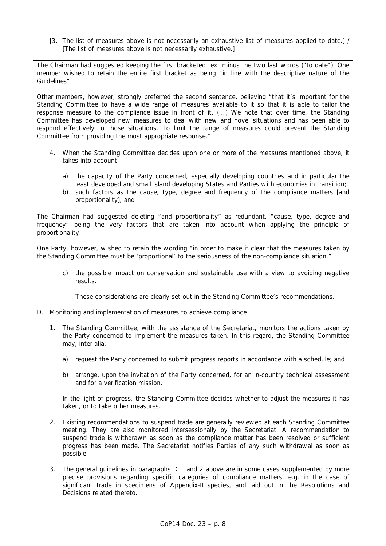[3. The list of measures above is not necessarily an exhaustive list of measures applied to date.] / [The list of measures above is not necessarily exhaustive.]

The Chairman had suggested keeping the first bracketed text minus the two last words ("to date"). One member wished to retain the entire first bracket as being "in line with the descriptive nature of the Guidelines".

Other members, however, strongly preferred the second sentence, believing "that it's important for the Standing Committee to have a wide range of measures available to it so that it is able to tailor the response measure to the compliance issue in front of it. (…) We note that over time, the Standing Committee has developed new measures to deal with new and novel situations and has been able to respond effectively to those situations. To limit the range of measures could prevent the Standing Committee from providing the most appropriate response."

- 4. When the Standing Committee decides upon one or more of the measures mentioned above, it takes into account:
	- a) the capacity of the Party concerned, especially developing countries and in particular the least developed and small island developing States and Parties with economies in transition;
	- b) such factors as the cause, type, degree and frequency of the compliance matters [and proportionality]; and

The Chairman had suggested deleting "and proportionality" as redundant, "cause, type, degree and frequency" being the very factors that are taken into account when applying the principle of proportionality.

One Party, however, wished to retain the wording "in order to make it clear that the measures taken by the Standing Committee must be 'proportional' to the seriousness of the non-compliance situation."

 c) the possible impact on conservation and sustainable use with a view to avoiding negative results.

These considerations are clearly set out in the Standing Committee's recommendations.

- *D. Monitoring and implementation of measures to achieve compliance* 
	- 1. The Standing Committee, with the assistance of the Secretariat, monitors the actions taken by the Party concerned to implement the measures taken. In this regard, the Standing Committee may, *inter alia*:
		- a) request the Party concerned to submit progress reports in accordance with a schedule; and
		- b) arrange, upon the invitation of the Party concerned, for an in-country technical assessment and for a verification mission.

In the light of progress, the Standing Committee decides whether to adjust the measures it has taken, or to take other measures.

- 2. Existing recommendations to suspend trade are generally reviewed at each Standing Committee meeting. They are also monitored intersessionally by the Secretariat. A recommendation to suspend trade is withdrawn as soon as the compliance matter has been resolved or sufficient progress has been made. The Secretariat notifies Parties of any such withdrawal as soon as possible.
- 3. The general guidelines in paragraphs D 1 and 2 above are in some cases supplemented by more precise provisions regarding specific categories of compliance matters, e.g. in the case of significant trade in specimens of Appendix-II species, and laid out in the Resolutions and Decisions related thereto.